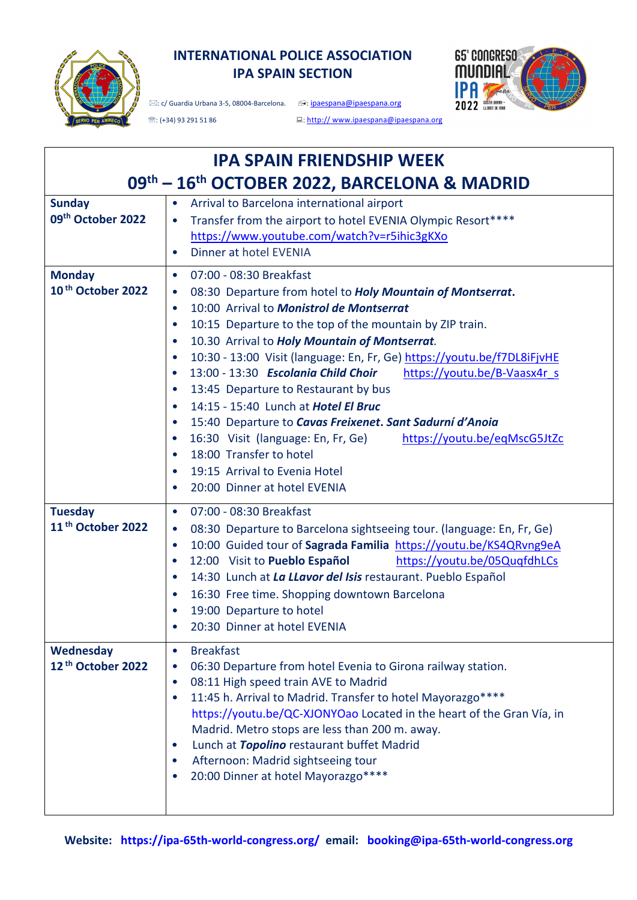

# **INTERNATIONAL POLICE ASSOCIATION IPA SPAIN SECTION**



 $\mathcal{D}:$  (+34) 93 291 51 86 :: http:// www.ipaespana@ipaespana.org

| <b>IPA SPAIN FRIENDSHIP WEEK</b>                |                                                                                                                                                                                                                                                                                                                                                                                                                                                                                                                                                                                                                                                                                                                                                                                                                                                                                                      |  |  |
|-------------------------------------------------|------------------------------------------------------------------------------------------------------------------------------------------------------------------------------------------------------------------------------------------------------------------------------------------------------------------------------------------------------------------------------------------------------------------------------------------------------------------------------------------------------------------------------------------------------------------------------------------------------------------------------------------------------------------------------------------------------------------------------------------------------------------------------------------------------------------------------------------------------------------------------------------------------|--|--|
| 09th - 16th OCTOBER 2022, BARCELONA & MADRID    |                                                                                                                                                                                                                                                                                                                                                                                                                                                                                                                                                                                                                                                                                                                                                                                                                                                                                                      |  |  |
| <b>Sunday</b><br>09th October 2022              | Arrival to Barcelona international airport<br>Transfer from the airport to hotel EVENIA Olympic Resort****<br>$\bullet$<br>https://www.youtube.com/watch?v=r5ihic3gKXo<br>Dinner at hotel EVENIA<br>$\bullet$                                                                                                                                                                                                                                                                                                                                                                                                                                                                                                                                                                                                                                                                                        |  |  |
| <b>Monday</b><br>10 <sup>th</sup> October 2022  | 07:00 - 08:30 Breakfast<br>$\bullet$<br>08:30 Departure from hotel to Holy Mountain of Montserrat.<br>$\bullet$<br>10:00 Arrival to Monistrol de Montserrat<br>$\bullet$<br>10:15 Departure to the top of the mountain by ZIP train.<br>$\bullet$<br>10.30 Arrival to Holy Mountain of Montserrat.<br>$\bullet$<br>10:30 - 13:00 Visit (language: En, Fr, Ge) https://youtu.be/f7DL8iFjvHE<br>$\bullet$<br>13:00 - 13:30 Escolania Child Choir<br>https://youtu.be/B-Vaasx4r s<br>$\bullet$<br>13:45 Departure to Restaurant by bus<br>$\bullet$<br>14:15 - 15:40 Lunch at Hotel El Bruc<br>$\bullet$<br>15:40 Departure to Cavas Freixenet. Sant Sadurní d'Anoia<br>$\bullet$<br>16:30 Visit (language: En, Fr, Ge)<br>https://youtu.be/eqMscG5JtZc<br>$\bullet$<br>18:00 Transfer to hotel<br>$\bullet$<br>19:15 Arrival to Evenia Hotel<br>$\bullet$<br>20:00 Dinner at hotel EVENIA<br>$\bullet$ |  |  |
| <b>Tuesday</b><br>11 <sup>th</sup> October 2022 | 07:00 - 08:30 Breakfast<br>$\bullet$<br>08:30 Departure to Barcelona sightseeing tour. (language: En, Fr, Ge)<br>$\bullet$<br>10:00 Guided tour of Sagrada Familia https://youtu.be/KS4QRvng9eA<br>$\bullet$<br>12:00 Visit to Pueblo Español<br>https://youtu.be/05QuqfdhLCs<br>$\bullet$<br>14:30 Lunch at La Llavor del Isis restaurant. Pueblo Español<br>$\bullet$<br>16:30 Free time. Shopping downtown Barcelona<br>$\bullet$<br>19:00 Departure to hotel<br>$\bullet$<br>20:30 Dinner at hotel EVENIA                                                                                                                                                                                                                                                                                                                                                                                        |  |  |
| Wednesday<br>12 <sup>th</sup> October 2022      | <b>Breakfast</b><br>06:30 Departure from hotel Evenia to Girona railway station.<br>08:11 High speed train AVE to Madrid<br>11:45 h. Arrival to Madrid. Transfer to hotel Mayorazgo****<br>https://youtu.be/QC-XJONYOao Located in the heart of the Gran Vía, in<br>Madrid. Metro stops are less than 200 m. away.<br>Lunch at Topolino restaurant buffet Madrid<br>Afternoon: Madrid sightseeing tour<br>20:00 Dinner at hotel Mayorazgo****                                                                                                                                                                                                                                                                                                                                                                                                                                                        |  |  |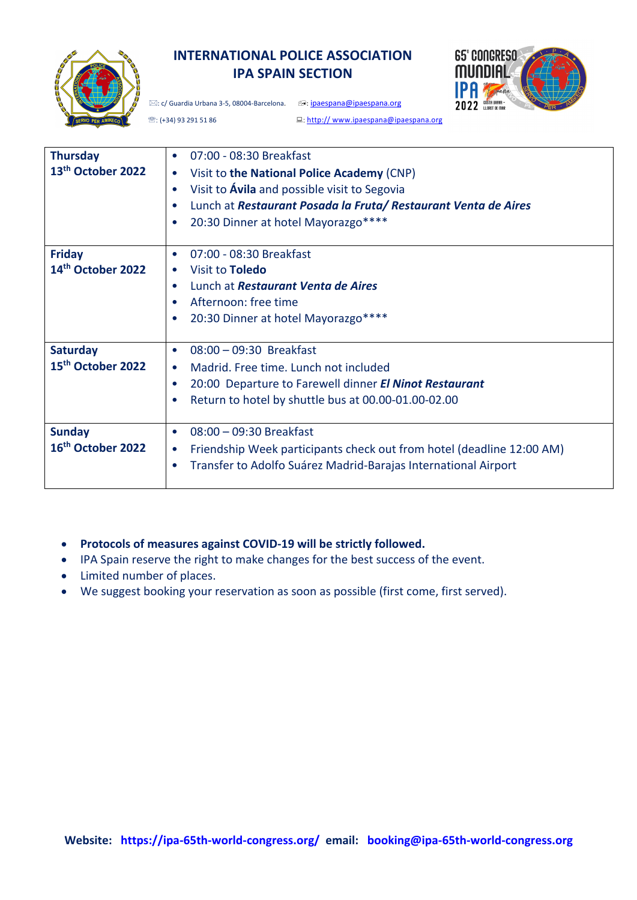

# **INTERNATIONAL POLICE ASSOCIATION IPA SPAIN SECTION**

 $\boxtimes:$  c/ Guardia Urbana 3-5, 08004-Barcelona.  $\textcircled{ii}$ : ipaespana@ipaespana.org



**<sup>■</sup>: (+34) 93 291 51 86** :: http:// www.ipaespana@ipaespana.org

| <b>Thursday</b><br>13th October 2022             | 07:00 - 08:30 Breakfast<br>$\bullet$<br>Visit to the National Police Academy (CNP)<br>$\bullet$<br>Visit to Avila and possible visit to Segovia<br>$\bullet$<br>Lunch at Restaurant Posada la Fruta/Restaurant Venta de Aires<br>20:30 Dinner at hotel Mayorazgo****<br>$\bullet$ |
|--------------------------------------------------|-----------------------------------------------------------------------------------------------------------------------------------------------------------------------------------------------------------------------------------------------------------------------------------|
| <b>Friday</b><br>14 <sup>th</sup> October 2022   | 07:00 - 08:30 Breakfast<br>$\bullet$<br>Visit to <b>Toledo</b><br>$\bullet$<br>Lunch at Restaurant Venta de Aires<br>$\bullet$<br>Afternoon: free time<br>20:30 Dinner at hotel Mayorazgo****<br>$\bullet$                                                                        |
| <b>Saturday</b><br>15 <sup>th</sup> October 2022 | 08:00 - 09:30 Breakfast<br>$\bullet$<br>Madrid. Free time. Lunch not included<br>$\bullet$<br>20:00 Departure to Farewell dinner El Ninot Restaurant<br>$\bullet$<br>Return to hotel by shuttle bus at 00.00-01.00-02.00                                                          |
| <b>Sunday</b><br>16th October 2022               | 08:00 - 09:30 Breakfast<br>$\bullet$<br>Friendship Week participants check out from hotel (deadline 12:00 AM)<br>$\bullet$<br>Transfer to Adolfo Suárez Madrid-Barajas International Airport<br>$\bullet$                                                                         |

- **Protocols of measures against COVID-19 will be strictly followed.**
- IPA Spain reserve the right to make changes for the best success of the event.
- Limited number of places.
- We suggest booking your reservation as soon as possible (first come, first served).